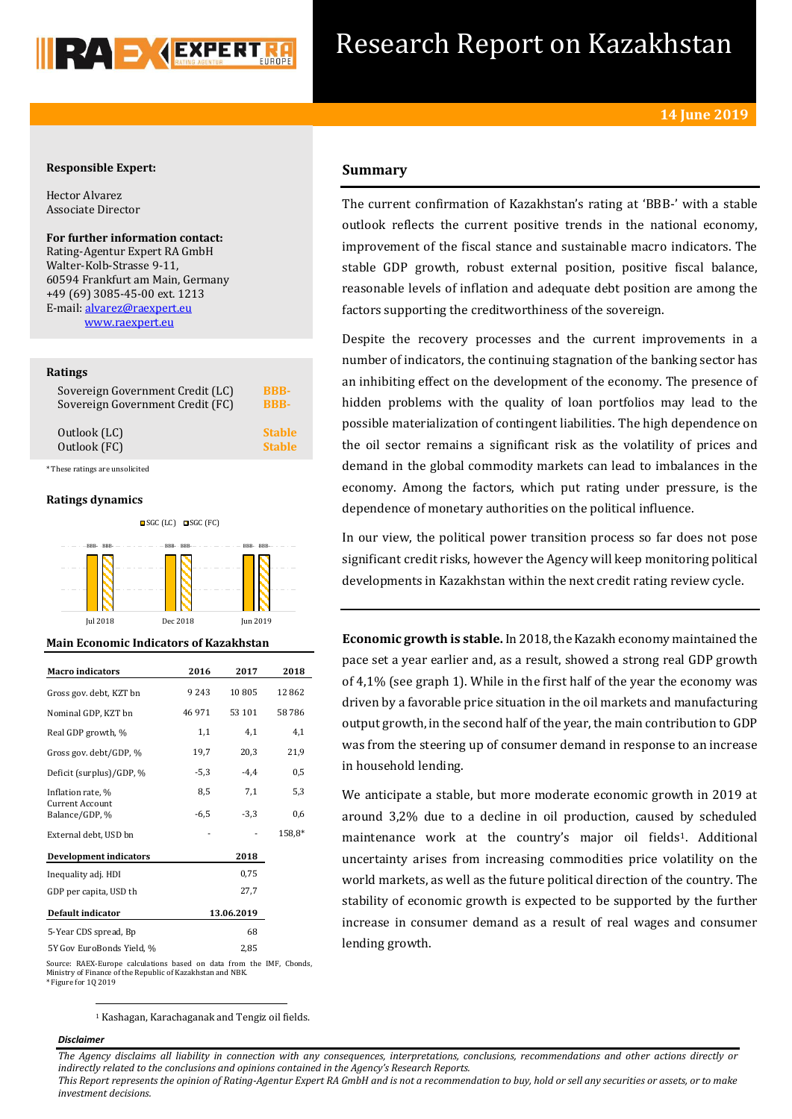

# Research Report on Kazakhstan

# **Responsible Expert:**

Hector Alvarez Associate Director

**For further information contact:** Rating-Agentur Expert RA GmbH Walter-Kolb-Strasse 9-11, 60594 Frankfurt am Main, Germany +49 (69) 3085-45-00 ext. 1213 E-mail[: alvarez@raexpert.eu](mailto:alvarez@raexpert.eu) [www.raexpert.eu](http://raexpert.eu/)

### **Ratings**

| Sovereign Government Credit (LC) | <b>BBB-</b>   |
|----------------------------------|---------------|
| Sovereign Government Credit (FC) | <b>BBB-</b>   |
| Outlook (LC)                     | <b>Stable</b> |
| Outlook (FC)                     | <b>Stable</b> |

\* These ratings are unsolicited

## **Ratings dynamics**



#### **Main Economic Indicators of Kazakhstan**

| <b>Macro</b> indicators           | 2016   | 2017       | 2018   |
|-----------------------------------|--------|------------|--------|
| Gross gov. debt, KZT bn           | 9243   | 10805      | 12862  |
| Nominal GDP, KZT bn               | 46 971 | 53 101     | 58786  |
| Real GDP growth, %                | 1,1    | 4,1        | 4,1    |
| Gross gov. debt/GDP, %            | 19,7   | 20,3       | 21,9   |
| Deficit (surplus)/GDP, %          | $-5,3$ | $-4.4$     | 0,5    |
| Inflation rate, %                 | 8,5    | 7,1        | 5,3    |
| Current Account<br>Balance/GDP, % | $-6,5$ | $-3,3$     | 0,6    |
| External debt, USD bn             |        |            | 158,8* |
| <b>Development indicators</b>     |        | 2018       |        |
| Inequality adj. HDI               |        | 0.75       |        |
| GDP per capita, USD th            |        | 27,7       |        |
| Default indicator                 |        | 13.06.2019 |        |
| 5-Year CDS spread, Bp             |        | 68         |        |
| 5Y Gov EuroBonds Yield, %         |        | 2,85       |        |

# **Summary**

The current confirmation of Kazakhstan's rating at 'BBB-' with a stable outlook reflects the current positive trends in the national economy, improvement of the fiscal stance and sustainable macro indicators. The stable GDP growth, robust external position, positive fiscal balance, reasonable levels of inflation and adequate debt position are among the factors supporting the creditworthiness of the sovereign.

Despite the recovery processes and the current improvements in a number of indicators, the continuing stagnation of the banking sector has an inhibiting effect on the development of the economy. The presence of hidden problems with the quality of loan portfolios may lead to the possible materialization of contingent liabilities. The high dependence on the oil sector remains a significant risk as the volatility of prices and demand in the global commodity markets can lead to imbalances in the economy. Among the factors, which put rating under pressure, is the dependence of monetary authorities on the political influence.

In our view, the political power transition process so far does not pose significant credit risks, however the Agency will keep monitoring political developments in Kazakhstan within the next credit rating review cycle.

**Economic growth is stable.** In 2018, the Kazakh economy maintained the pace set a year earlier and, as a result, showed a strong real GDP growth of 4,1% (see graph 1). While in the first half of the year the economy was driven by a favorable price situation in the oil markets and manufacturing output growth, in the second half of the year, the main contribution to GDP was from the steering up of consumer demand in response to an increase in household lending.

We anticipate a stable, but more moderate economic growth in 2019 at around 3,2% due to a decline in oil production, caused by scheduled maintenance work at the country's major oil fields<sup>1</sup>. Additional uncertainty arises from increasing commodities price volatility on the world markets, as well as the future political direction of the country. The stability of economic growth is expected to be supported by the further increase in consumer demand as a result of real wages and consumer lending growth.

Source: RAEX-Europe calculations based on data from the IMF, Cbonds, Ministry of Finance of the Republic of Kazakhstan and NBK. \* Figure for 1Q 2019

<sup>1</sup> Kashagan, Karachaganak and Tengiz oil fields.

### *Disclaimer*

1

*The Agency disclaims all liability in connection with any consequences, interpretations, conclusions, recommendations and other actions directly or indirectly related to the conclusions and opinions contained in the Agency's Research Reports.*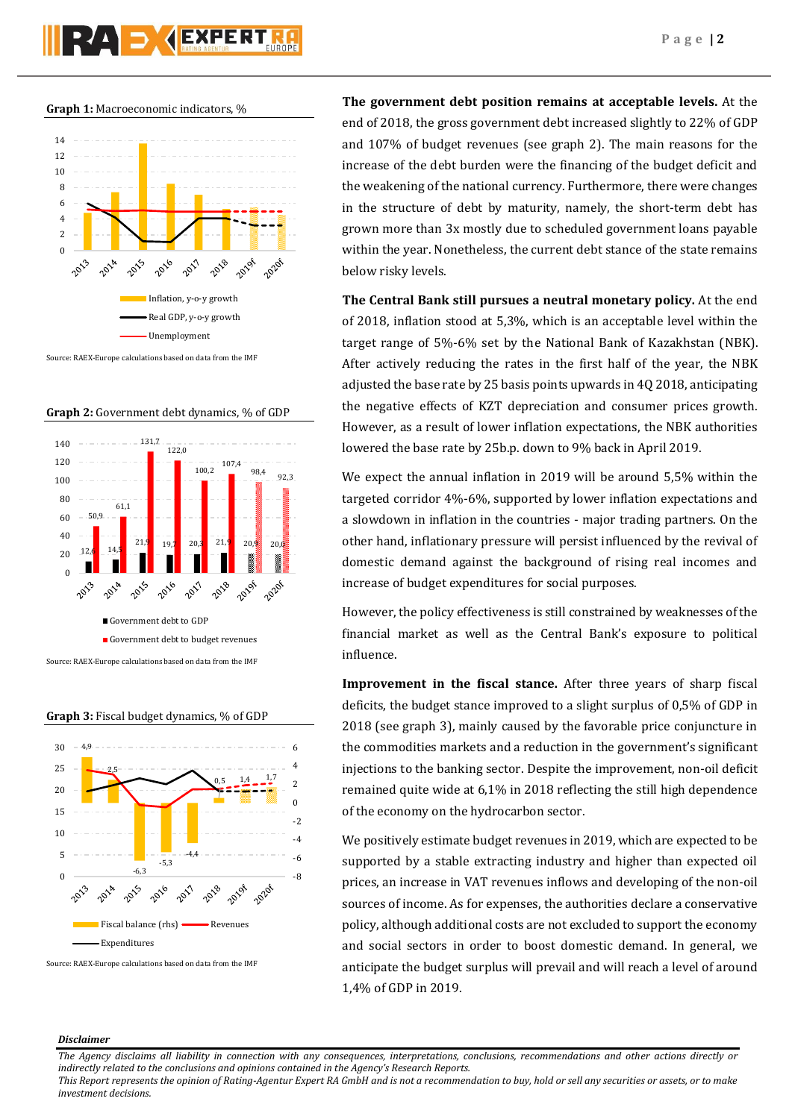**Graph 1:** Macroeconomic indicators, %



Source: RAEX-Europe calculations based on data from the IMF









Source: RAEX-Europe calculations based on data from the IMF

**The government debt position remains at acceptable levels.** At the end of 2018, the gross government debt increased slightly to 22% of GDP and 107% of budget revenues (see graph 2). The main reasons for the increase of the debt burden were the financing of the budget deficit and the weakening of the national currency. Furthermore, there were changes in the structure of debt by maturity, namely, the short-term debt has grown more than 3x mostly due to scheduled government loans payable within the year. Nonetheless, the current debt stance of the state remains below risky levels.

**The Central Bank still pursues a neutral monetary policy.** At the end of 2018, inflation stood at 5,3%, which is an acceptable level within the target range of 5%-6% set by the National Bank of Kazakhstan (NBK). After actively reducing the rates in the first half of the year, the NBK adjusted the base rate by 25 basis points upwards in 4Q 2018, anticipating the negative effects of KZT depreciation and consumer prices growth. However, as a result of lower inflation expectations, the NBK authorities lowered the base rate by 25b.p. down to 9% back in April 2019.

We expect the annual inflation in 2019 will be around 5,5% within the targeted corridor 4%-6%, supported by lower inflation expectations and a slowdown in inflation in the countries - major trading partners. On the other hand, inflationary pressure will persist influenced by the revival of domestic demand against the background of rising real incomes and increase of budget expenditures for social purposes.

However, the policy effectiveness is still constrained by weaknesses of the financial market as well as the Central Bank's exposure to political influence.

**Improvement in the fiscal stance.** After three years of sharp fiscal deficits, the budget stance improved to a slight surplus of 0,5% of GDP in 2018 (see graph 3), mainly caused by the favorable price conjuncture in the commodities markets and a reduction in the government's significant injections to the banking sector. Despite the improvement, non-oil deficit remained quite wide at 6,1% in 2018 reflecting the still high dependence of the economy on the hydrocarbon sector.

We positively estimate budget revenues in 2019, which are expected to be supported by a stable extracting industry and higher than expected oil prices, an increase in VAT revenues inflows and developing of the non-oil sources of income. As for expenses, the authorities declare a conservative policy, although additional costs are not excluded to support the economy and social sectors in order to boost domestic demand. In general, we anticipate the budget surplus will prevail and will reach a level of around 1,4% of GDP in 2019.

## *Disclaimer*

*The Agency disclaims all liability in connection with any consequences, interpretations, conclusions, recommendations and other actions directly or indirectly related to the conclusions and opinions contained in the Agency's Research Reports.*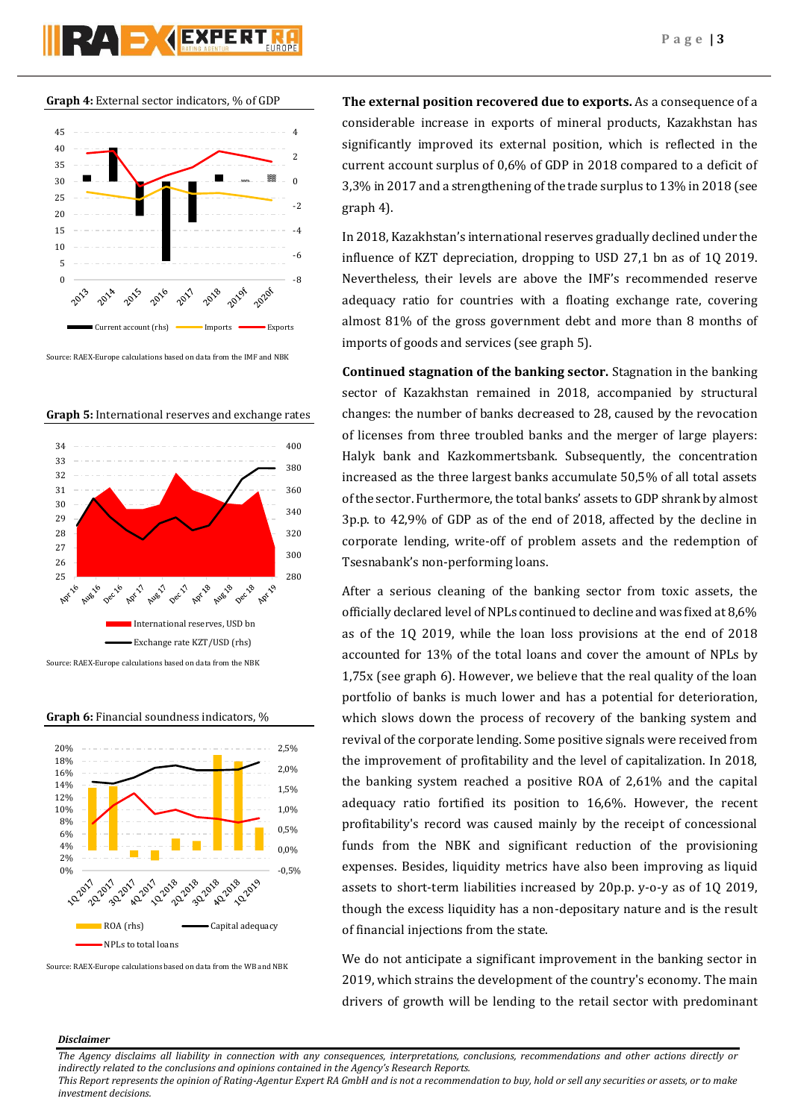

**Graph 4:** External sector indicators, % of GDP



Source: RAEX-Europe calculations based on data from the IMF and NBK



**Graph 5:** International reserves and exchange rates

**Graph 6:** Financial soundness indicators, %



Source: RAEX-Europe calculations based on data from the WB and NBK

**The external position recovered due to exports.** As a consequence of a considerable increase in exports of mineral products, Kazakhstan has significantly improved its external position, which is reflected in the current account surplus of 0,6% of GDP in 2018 compared to a deficit of 3,3% in 2017 and a strengthening of the trade surplus to 13% in 2018 (see graph 4).

In 2018, Kazakhstan's international reserves gradually declined under the influence of KZT depreciation, dropping to USD 27,1 bn as of 1Q 2019. Nevertheless, their levels are above the IMF's recommended reserve adequacy ratio for countries with a floating exchange rate, covering almost 81% of the gross government debt and more than 8 months of imports of goods and services (see graph 5).

**Continued stagnation of the banking sector.** Stagnation in the banking sector of Kazakhstan remained in 2018, accompanied by structural changes: the number of banks decreased to 28, caused by the revocation of licenses from three troubled banks and the merger of large players: Halyk bank and Kazkommertsbank. Subsequently, the concentration increased as the three largest banks accumulate 50,5% of all total assets of the sector. Furthermore, the total banks' assets to GDP shrank by almost 3p.p. to 42,9% of GDP as of the end of 2018, affected by the decline in corporate lending, write-off of problem assets and the redemption of Tsesnabank's non-performing loans.

After a serious cleaning of the banking sector from toxic assets, the officially declared level of NPLs continued to decline and was fixed at 8,6% as of the 1Q 2019, while the loan loss provisions at the end of 2018 accounted for 13% of the total loans and cover the amount of NPLs by 1,75x (see graph 6). However, we believe that the real quality of the loan portfolio of banks is much lower and has a potential for deterioration, which slows down the process of recovery of the banking system and revival of the corporate lending. Some positive signals were received from the improvement of profitability and the level of capitalization. In 2018, the banking system reached a positive ROA of 2,61% and the capital adequacy ratio fortified its position to 16,6%. However, the recent profitability's record was caused mainly by the receipt of concessional funds from the NBK and significant reduction of the provisioning expenses. Besides, liquidity metrics have also been improving as liquid assets to short-term liabilities increased by 20p.p. y-o-y as of 1Q 2019, though the excess liquidity has a non-depositary nature and is the result of financial injections from the state.

We do not anticipate a significant improvement in the banking sector in 2019, which strains the development of the country's economy. The main drivers of growth will be lending to the retail sector with predominant

### *Disclaimer*

*The Agency disclaims all liability in connection with any consequences, interpretations, conclusions, recommendations and other actions directly or indirectly related to the conclusions and opinions contained in the Agency's Research Reports.*